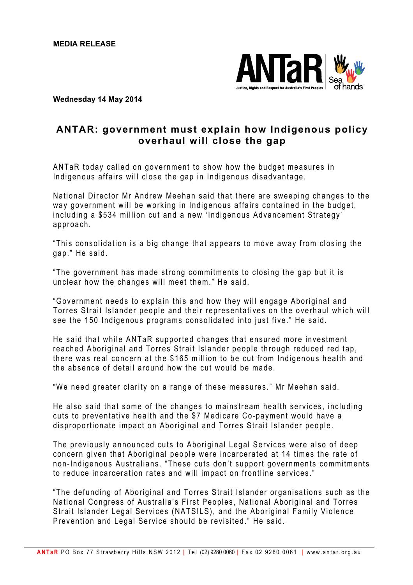

## **Wednesday 14 May 2014**

## **ANTAR: government must explain how Indigenous policy overhaul will close the gap**

ANTaR today called on government to show how the budget measures in Indigenous affairs will close the gap in Indigenous disadvantage.

National Director Mr Andrew Meehan said that there are sweeping changes to the way government will be working in Indigenous a ffairs contained in the budget, including a \$534 million cut and a new 'Indigenous Advancement Strategy' approach.

"This consolidation is a big change that appears to move away from closing the gap." He said.

"The government has made strong commitments to closing the gap but it is unclear how the changes will meet them." He said.

"Government needs to explain this and how they will engage Aboriginal and Torres Strait Islander people and their representatives on the overhaul which will see the 150 Indigenous programs consolidated into just five." He said.

He said that while ANTaR supported changes that ensured more investment reached Aboriginal and Torres Strait Islander people through reduced red tap, there was real concern at the \$165 million to be cut from Indigenous health and the absence of detail around how the cut would be made.

"We need greater clarity on a range of these measures." Mr Meehan said.

He also said that some of the changes to mainstream health services, including cuts to preventative health and the \$7 Medicare Co-payment would have a disproportionate impact on Aboriginal and Torres Strait Islander people.

The previously announced cuts to Aboriginal Legal Services were also of deep concern given that Aboriginal people were incarcerated at 14 times the rate of non-Indigenous Australians. "These cuts don't support governments commitments to reduce incarceration rates and will impact on frontline services ."

"The defunding of Aboriginal and Torres Strait Islander organisations such as the National Congress of Australia's First Peoples, National Aboriginal and Torres Strait Islander Legal Services (NATSILS), and the Aboriginal Family Violence Prevention and Legal Service should be revisited." He said.